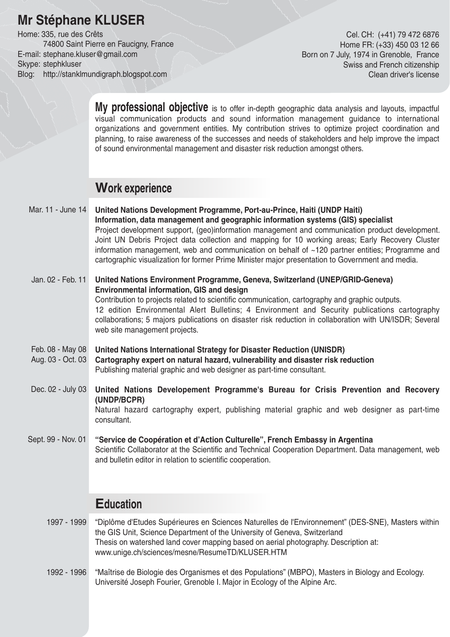# **Mr Stéphane KLUSER**

Home: 335, rue des Crêts 74800 Saint Pierre en Faucigny, France E-mail: stephane.kluser@gmail.com Skype: stephkluser Blog: http://stanklmundigraph.blogspot.com

Cel. CH: (+41) 79 472 6876 Home FR: (+33) 450 03 12 66 Born on 7 July, 1974 in Grenoble, France Swiss and French citizenship Clean driver's license

**My professional objective** is to offer in-depth geographic data analysis and layouts, impactful visual communication products and sound information management guidance to international organizations and government entities. My contribution strives to optimize project coordination and planning, to raise awareness of the successes and needs of stakeholders and help improve the impact of sound environmental management and disaster risk reduction amongst others.

## **Work experience**

- **United Nations Development Programme, Port-au-Prince, Haiti (UNDP Haiti) Information, data management and geographic information systems (GIS) specialist** Project development support, (geo)information management and communication product development. Joint UN Debris Project data collection and mapping for 10 working areas; Early Recovery Cluster information management, web and communication on behalf of ~120 partner entities; Programme and cartographic visualization for former Prime Minister major presentation to Government and media. Mar. 11 - June 14
- **United Nations Environment Programme, Geneva, Switzerland (UNEP/GRID-Geneva) Environmental information, GIS and design** Contribution to projects related to scientific communication, cartography and graphic outputs. 12 edition Environmental Alert Bulletins; 4 Environment and Security publications cartography collaborations; 5 majors publications on disaster risk reduction in collaboration with UN/ISDR; Several web site management projects. Jan. 02 - Feb. 11
- **United Nations International Strategy for Disaster Reduction (UNISDR)** Feb. 08 - May 08
- **Cartography expert on natural hazard, vulnerability and disaster risk reduction** Publishing material graphic and web designer as part-time consultant. Aug. 03 - Oct. 03
- **United Nations Developement Programme's Bureau for Crisis Prevention and Recovery (UNDP/BCPR)** Natural hazard cartography expert, publishing material graphic and web designer as part-time Dec. 02 - July 03

consultant.

**"Service de Coopération et d'Action Culturelle", French Embassy in Argentina** Scientific Collaborator at the Scientific and Technical Cooperation Department. Data management, web and bulletin editor in relation to scientific cooperation. Sept. 99 - Nov. 01

# **Education**

- 1997 1999 "Diplôme d'Etudes Supérieures en Sciences Naturelles de l'Environnement" (DES-SNE), Masters within the GIS Unit, Science Department of the University of Geneva, Switzerland Thesis on watershed land cover mapping based on aerial photography. Description at: www.unige.ch/sciences/mesne/ResumeTD/KLUSER.HTM
- 1992 1996 "Maîtrise de Biologie des Organismes et des Populations" (MBPO), Masters in Biology and Ecology. Université Joseph Fourier, Grenoble I. Major in Ecology of the Alpine Arc.